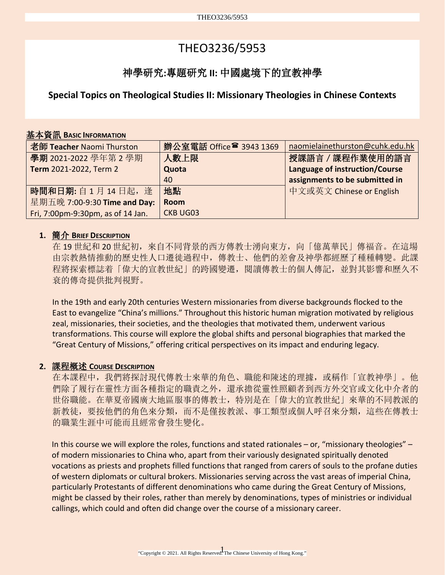# THEO3236/5953

## 神學研究**:**專題研究 **II:** 中國處境下的宣教神學

**Special Topics on Theological Studies II: Missionary Theologies in Chinese Contexts**

## 基本資訊 **BASIC INFORMATION**

| 老師 Teacher Naomi Thurston         | 辦公室電話 Office <sup>2</sup> 3943 1369 | naomielainethurston@cuhk.edu.hk |
|-----------------------------------|-------------------------------------|---------------------------------|
| 學期 2021-2022 學年第2學期               | 人數上限                                | 授課語言 / 課程作業使用的語言                |
| Term 2021-2022, Term 2            | Quota                               | Language of instruction/Course  |
|                                   | 40                                  | assignments to be submitted in  |
| 時間和日期: 自1月14日起, 逢                 | 地點                                  | 中文或英文 Chinese or English        |
| 星期五晚 7:00-9:30 Time and Day:      | <b>Room</b>                         |                                 |
| Fri, 7:00pm-9:30pm, as of 14 Jan. | <b>CKB UG03</b>                     |                                 |

## **1.** 簡介 **BRIEF DESCRIPTION**

在 19 世紀和 20 世紀初,來自不同背景的西方傳教士湧向東方,向「億萬華民」傳福音。在這場 由宗教熱情推動的歷史性人口遷徙過程中,傳教士、他們的差會及神學都經歷了種種轉變。此課 程將探索標誌着「偉大的宣教世紀」的跨國變遷,閱讀傳教士的個人傳記,並對其影響和歷久不 衰的傳奇提供批判視野。

In the 19th and early 20th centuries Western missionaries from diverse backgrounds flocked to the East to evangelize "China's millions." Throughout this historic human migration motivated by religious zeal, missionaries, their societies, and the theologies that motivated them, underwent various transformations. This course will explore the global shifts and personal biographies that marked the "Great Century of Missions," offering critical perspectives on its impact and enduring legacy.

## **2.** 課程概述 **COURSE DESCRIPTION**

在本課程中,我們將探討現代傳教士來華的角色、職能和陳述的理據,或稱作「宣教神學」。他 們除了履行在靈性方面各種指定的職責之外,還承擔從靈性照顧者到西方外交官或文化中介者的 世俗職能。在華夏帝國廣大地區服事的傳教士,特別是在「偉大的宣教世紀」來華的不同教派的 新教徒,要按他們的角色來分類,而不是僅按教派、事工類型或個人呼召來分類,這些在傳教士 的職業生涯中可能而且經常會發生變化。

In this course we will explore the roles, functions and stated rationales – or, "missionary theologies" – of modern missionaries to China who, apart from their variously designated spiritually denoted vocations as priests and prophets filled functions that ranged from carers of souls to the profane duties of western diplomats or cultural brokers. Missionaries serving across the vast areas of imperial China, particularly Protestants of different denominations who came during the Great Century of Missions, might be classed by their roles, rather than merely by denominations, types of ministries or individual callings, which could and often did change over the course of a missionary career.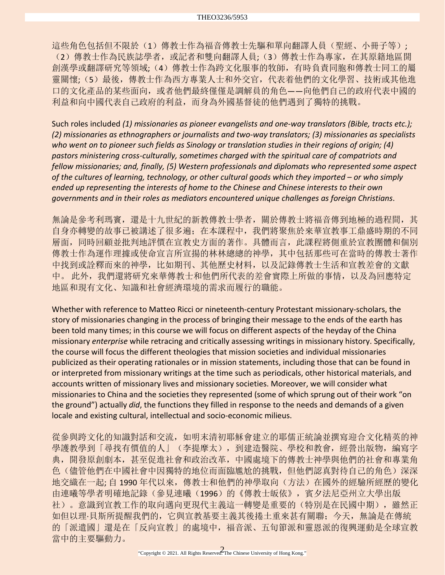這些角色包括但不限於(1)傳教士作為福音傳教士先驅和單向翻譯人員(聖經、小冊子等); (2)傳教士作為民族誌學者,或記者和雙向翻譯人員;(3)傳教士作為專家,在其原籍地區開 創漢學或翻譯研究等領域;(4)傳教士作為跨文化服事的牧師,有時負責同胞和傳教士同工的屬 靈關懷;(5)最後,傳教士作為西方專業人士和外交官,代表着他們的文化學習、技術或其他進 口的文化產品的某些面向,或者他們最終僅僅是調解員的角色——向他們自己的政府代表中國的 利益和向中國代表自己政府的利益,而身為外國基督徒的他們遇到了獨特的挑戰。

Such roles included *(1) missionaries as pioneer evangelists and one-way translators (Bible, tracts etc.); (2) missionaries as ethnographers or journalists and two-way translators; (3) missionaries as specialists who went on to pioneer such fields as Sinology or translation studies in their regions of origin; (4) pastors ministering cross-culturally, sometimes charged with the spiritual care of compatriots and fellow missionaries; and, finally, (5) Western professionals and diplomats who represented some aspect of the cultures of learning, technology, or other cultural goods which they imported – or who simply ended up representing the interests of home to the Chinese and Chinese interests to their own governments and in their roles as mediators encountered unique challenges as foreign Christians*.

無論是參考利瑪竇,還是十九世紀的新教傳教士學者,關於傳教士將福音傳到地極的過程間,其 自身亦轉變的故事已被講述了很多遍;在本課程中,我們將聚焦於來華宣教事工鼎盛時期的不同 層面,同時回顧並批判地評價在宣教史方面的著作。具體而言,此課程將側重於宣教團體和個別 傳教士作為運作理據或使命宣言所宣揚的林林總總的神學,其中包括那些可在當時的傳教士著作 中找到或詮釋而來的神學,比如期刊、其他歷史材料,以及記錄傳教士生活和宣教差會的文獻 中。 此外,我們還將研究來華傳教士和他們所代表的差會實際上所做的事情,以及為回應特定 地區和現有文化、知識和社會經濟環境的需求而履行的職能。

Whether with reference to Matteo Ricci or nineteenth-century Protestant missionary-scholars, the story of missionaries changing in the process of bringing their message to the ends of the earth has been told many times; in this course we will focus on different aspects of the heyday of the China missionary *enterprise* while retracing and critically assessing writings in missionary history. Specifically, the course will focus the different theologies that mission societies and individual missionaries publicized as their operating rationales or in mission statements, including those that can be found in or interpreted from missionary writings at the time such as periodicals, other historical materials, and accounts written of missionary lives and missionary societies. Moreover, we will consider what missionaries to China and the societies they represented (some of which sprung out of their work "on the ground") actually *did*, the functions they filled in response to the needs and demands of a given locale and existing cultural, intellectual and socio-economic milieus.

從參與跨文化的知識對話和交流,如明末清初耶穌會建立的耶儒正統論並撰寫迎合文化精英的神 學護教學到「尋找有價值的人」(李提摩太), 到建造醫院、學校和教會, 經營出版物, 編寫字 典,開發原創劇本,甚至促進社會和政治改革,中國處境下的傳教士神學與他們的社會和專業角 色(儘管他們在中國社會中因獨特的地位而面臨尷尬的挑戰,但他們認真對待自己的角色)深深 地交織在一起; 自 1990 年代以來,傳教士和他們的神學取向(方法)在國外的經驗所經歷的變化 由連曦等學者明確地記錄(參見連曦(1996)的《傳教士皈依》,賓夕法尼亞州立大學出版 社)。意識到宣教工作的取向邁向更現代主義這一轉變是重要的(特別是在民國中期),雖然正 如但以理·貝斯所提醒我們的,它與宣教基要主義其後捲土重來甚有關聯;今天,無論是在傳統 的「派遣國」還是在「反向宣教」的處境中,福音派、五旬節派和靈恩派的復興運動是全球宣教 當中的主要驅動力。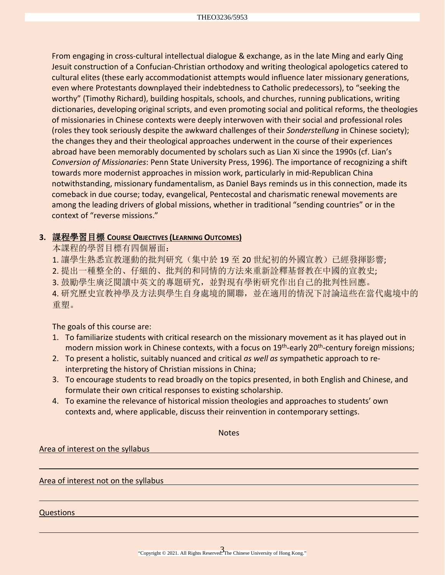From engaging in cross-cultural intellectual dialogue & exchange, as in the late Ming and early Qing Jesuit construction of a Confucian-Christian orthodoxy and writing theological apologetics catered to cultural elites (these early accommodationist attempts would influence later missionary generations, even where Protestants downplayed their indebtedness to Catholic predecessors), to "seeking the worthy" (Timothy Richard), building hospitals, schools, and churches, running publications, writing dictionaries, developing original scripts, and even promoting social and political reforms, the theologies of missionaries in Chinese contexts were deeply interwoven with their social and professional roles (roles they took seriously despite the awkward challenges of their *Sonderstellung* in Chinese society); the changes they and their theological approaches underwent in the course of their experiences abroad have been memorably documented by scholars such as Lian Xi since the 1990s (cf. Lian's *Conversion of Missionaries*: Penn State University Press, 1996). The importance of recognizing a shift towards more modernist approaches in mission work, particularly in mid-Republican China notwithstanding, missionary fundamentalism, as Daniel Bays reminds us in this connection, made its comeback in due course; today, evangelical, Pentecostal and charismatic renewal movements are among the leading drivers of global missions, whether in traditional "sending countries" or in the context of "reverse missions."

## **3.** 課程學習目標 **COURSE OBJECTIVES (LEARNING OUTCOMES)**

本課程的學習目標有四個層面:

1. 讓學生熟悉宣教運動的批判研究(集中於 19 至 20 世紀初的外國宣教)已經發揮影響;

2. 提出一種整全的、仔細的、批判的和同情的方法來重新詮釋基督教在中國的宣教史;

3. 鼓勵學生廣泛閱讀中英文的專題研究,並對現有學術研究作出自己的批判性回應。

4. 研究歷史宣教神學及方法與學生自身處境的關聯,並在適用的情況下討論這些在當代處境中的 重塑。

The goals of this course are:

- 1. To familiarize students with critical research on the missionary movement as it has played out in modern mission work in Chinese contexts, with a focus on  $19<sup>th</sup>$ -early 20<sup>th</sup>-century foreign missions;
- 2. To present a holistic, suitably nuanced and critical *as well as* sympathetic approach to reinterpreting the history of Christian missions in China;
- 3. To encourage students to read broadly on the topics presented, in both English and Chinese, and formulate their own critical responses to existing scholarship.
- 4. To examine the relevance of historical mission theologies and approaches to students' own contexts and, where applicable, discuss their reinvention in contemporary settings.

**Notes** Area of interest on the syllabus Area of interest not on the syllabus Questions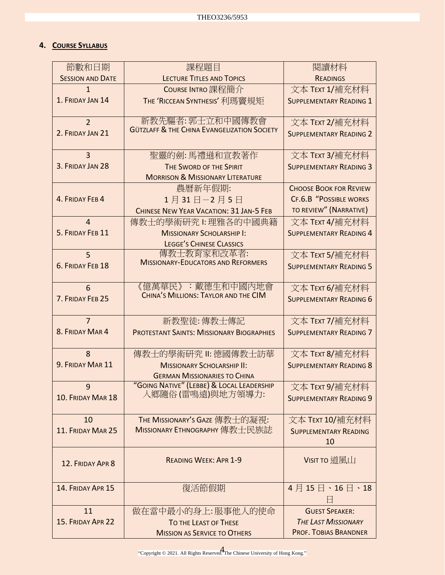## **4. COURSE SYLLABUS**

| 節數和日期                   | 課程題目                                                          | 閱讀材料                           |
|-------------------------|---------------------------------------------------------------|--------------------------------|
| <b>SESSION AND DATE</b> | <b>LECTURE TITLES AND TOPICS</b>                              | <b>READINGS</b>                |
| $\mathbf{1}$            | COURSE INTRO 課程簡介                                             | 文本 TEXT 1/補充材料                 |
| 1. FRIDAY JAN 14        | THE 'RICCEAN SYNTHESIS' 利瑪竇規矩                                 | <b>SUPPLEMENTARY READING 1</b> |
| $\overline{2}$          | 新教先驅者:郭士立和中國傳教會                                               | 文本 TEXT 2/補充材料                 |
| 2. FRIDAY JAN 21        | <b>GÜTZLAFF &amp; THE CHINA EVANGELIZATION SOCIETY</b>        | <b>SUPPLEMENTARY READING 2</b> |
| $\overline{3}$          | 聖靈的劍:馬禮遜和宣教著作                                                 | 文本 TEXT 3/補充材料                 |
| 3. FRIDAY JAN 28        | THE SWORD OF THE SPIRIT                                       | <b>SUPPLEMENTARY READING 3</b> |
|                         | <b>MORRISON &amp; MISSIONARY LITERATURE</b>                   |                                |
|                         | 農曆新年假期:                                                       | <b>CHOOSE BOOK FOR REVIEW</b>  |
| 4. FRIDAY FEB 4         | 1月31日-2月5日                                                    | <b>CF.6.B "POSSIBLE WORKS</b>  |
|                         | CHINESE NEW YEAR VACATION: 31 JAN-5 FEB                       | TO REVIEW" (NARRATIVE)         |
| $\overline{4}$          | 傳教士的學術研究 1: 理雅各的中國典籍                                          | 文本 TEXT 4/補充材料                 |
| 5. FRIDAY FEB 11        | <b>MISSIONARY SCHOLARSHIP I:</b>                              | <b>SUPPLEMENTARY READING 4</b> |
|                         | <b>LEGGE'S CHINESE CLASSICS</b>                               |                                |
| 5                       | 傳教士教育家和改革者:<br><b>MISSIONARY-EDUCATORS AND REFORMERS</b>      | 文本 TEXT 5/補充材料                 |
| 6. FRIDAY FEB 18        |                                                               | <b>SUPPLEMENTARY READING 5</b> |
| 6                       | 《億萬華民》:戴德生和中國內地會                                              | 文本 TEXT 6/補充材料                 |
| 7. FRIDAY FEB 25        | CHINA'S MILLIONS: TAYLOR AND THE CIM                          | <b>SUPPLEMENTARY READING 6</b> |
| $\overline{7}$          |                                                               |                                |
| 8. FRIDAY MAR 4         | 新教聖徒: 傳教士傳記                                                   | 文本 TEXT 7/補充材料                 |
|                         | <b>PROTESTANT SAINTS: MISSIONARY BIOGRAPHIES</b>              | <b>SUPPLEMENTARY READING 7</b> |
| 8                       | 傳教士的學術研究 Ⅱ: 德國傳教士訪華                                           | 文本 TEXT 8/補充材料                 |
| 9. FRIDAY MAR 11        | <b>MISSIONARY SCHOLARSHIP II:</b>                             | <b>SUPPLEMENTARY READING 8</b> |
|                         | <b>GERMAN MISSIONARIES TO CHINA</b>                           |                                |
| 9                       | "GOING NATIVE" (LEBBE) & LOCAL LEADERSHIP<br>入鄉隨俗(雷鳴遠)與地方領導力: | 文本 TEXT 9/補充材料                 |
| 10. FRIDAY MAR 18       |                                                               | <b>SUPPLEMENTARY READING 9</b> |
|                         |                                                               |                                |
| 10                      | THE MISSIONARY'S GAZE 傳教士的凝視:                                 | 文本 TEXT 10/補充材料                |
| 11. FRIDAY MAR 25       | MISSIONARY ETHNOGRAPHY 傳教士民族誌                                 | <b>SUPPLEMENTARY READING</b>   |
|                         |                                                               | 10                             |
| 12. FRIDAY APR 8        | <b>READING WEEK: APR 1-9</b>                                  | VISIT TO 道風山                   |
|                         |                                                               |                                |
| 14. FRIDAY APR 15       | 復活節假期                                                         | 4月15日、16日、18                   |
|                         |                                                               |                                |
| 11                      | 做在當中最小的身上:服事他人的使命                                             | <b>GUEST SPEAKER:</b>          |
| 15. FRIDAY APR 22       | <b>TO THE LEAST OF THESE</b>                                  | <b>THE LAST MISSIONARY</b>     |
|                         | <b>MISSION AS SERVICE TO OTHERS</b>                           | <b>PROF. TOBIAS BRANDNER</b>   |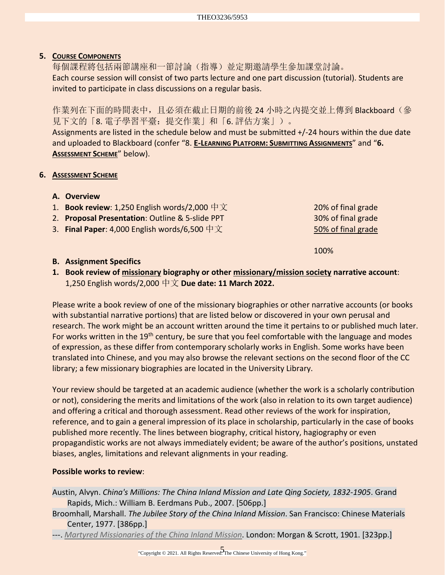## **5. COURSE COMPONENTS**

每個課程將包括兩節講座和一節討論(指導)並定期邀請學生參加課堂討論。 Each course session will consist of two parts lecture and one part discussion (tutorial). Students are invited to participate in class discussions on a regular basis.

作業列在下面的時間表中,且必須在截止日期的前後 24 小時之內提交並上傳到 Blackboard (參 見下文的「8. 電子學習平臺:提交作業」和「6. 評估方案」)。

Assignments are listed in the schedule below and must be submitted +/-24 hours within the due date and uploaded to Blackboard (confer "8. **E-LEARNING PLATFORM: SUBMITTING ASSIGNMENTS**" and "**6. ASSESSMENT SCHEME**" below).

## **6. ASSESSMENT SCHEME**

- **A. Overview**
- 1. **Book review**: 1,250 English words/2,000 中文 20% of final grade
- 2. **Proposal Presentation**: Outline & 5-slide PPT 30% of final grade
- 3. **Final Paper**: 4,000 English words/6,500 中文 50% of final grade

100%

## **B. Assignment Specifics**

**1. Book review of missionary biography or other missionary/mission society narrative account**: 1,250 English words/2,000 中文 **Due date: 11 March 2022.**

Please write a book review of one of the missionary biographies or other narrative accounts (or books with substantial narrative portions) that are listed below or discovered in your own perusal and research. The work might be an account written around the time it pertains to or published much later. For works written in the 19<sup>th</sup> century, be sure that you feel comfortable with the language and modes of expression, as these differ from contemporary scholarly works in English. Some works have been translated into Chinese, and you may also browse the relevant sections on the second floor of the CC library; a few missionary biographies are located in the University Library.

Your review should be targeted at an academic audience (whether the work is a scholarly contribution or not), considering the merits and limitations of the work (also in relation to its own target audience) and offering a critical and thorough assessment. Read other reviews of the work for inspiration, reference, and to gain a general impression of its place in scholarship, particularly in the case of books published more recently. The lines between biography, critical history, hagiography or even propagandistic works are not always immediately evident; be aware of the author's positions, unstated biases, angles, limitations and relevant alignments in your reading.

#### **Possible works to review**:

- Austin, Alvyn. *China's Millions: The China Inland Mission and Late Qing Society, 1832-1905*. Grand Rapids, Mich.: William B. Eerdmans Pub., 2007. [506pp.]
- Broomhall, Marshall. *The Jubilee Story of the China Inland Mission*. San Francisco: Chinese Materials Center, 1977. [386pp.]
- ---. *[Martyred Missionaries of the China Inland Mission](https://archive.org/details/martyredmission00broogoog/page/n355/mode/1up)*. London: Morgan & Scrott, 1901. [323pp.]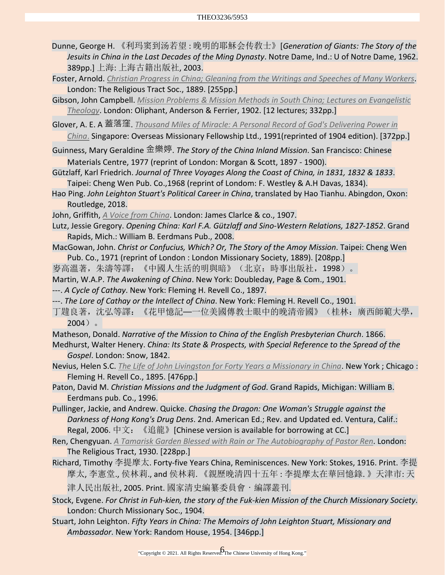- Dunne, George H. 《利玛窦到汤若望 : 晚明的耶穌会传敎士》[*Generation of Giants: The Story of the Jesuits in China in the Last Decades of the Ming Dynasty*. Notre Dame, Ind.: U of Notre Dame, 1962. 389pp.] 上海: 上海古籍出版社, 2003.
- Foster, Arnold. *[Christian Progress in China; Gleaning from the Writings and Speeches of Many Workers](https://babel.hathitrust.org/cgi/pt?id=coo.31924022921815&view=1up&seq=9)*. London: The Religious Tract Soc., 1889. [255pp.]
- Gibson, John Campbell. *[Mission Problems & Mission Methods in South China; Lectures on Evangelistic](https://archive.org/details/missionproblemsm00gibs/page/5/mode/1up)  [Theology](https://archive.org/details/missionproblemsm00gibs/page/5/mode/1up)*. London: Oliphant, Anderson & Ferrier, 1902. [12 lectures; 332pp.]
- Glover, A. E. A 蓋落窪. *Thousand Miles of Miracle: A [Personal Record of God's Delivering Power in](https://archive.org/details/in.ernet.dli.2015.505016/page/n395/mode/1up)* 
	- *[China](https://archive.org/details/in.ernet.dli.2015.505016/page/n395/mode/1up)*. Singapore: Overseas Missionary Fellowship Ltd., 1991(reprinted of 1904 edition). [372pp.]
- Guinness, Mary Geraldine 金樂婷. *The Story of the China Inland Mission*. San Francisco: Chinese Materials Centre, 1977 (reprint of London: Morgan & Scott, 1897 - 1900).
- Gützlaff, Karl Friedrich. *Journal of Three Voyages Along the Coast of China, in 1831, 1832 & 1833*. Taipei: Cheng Wen Pub. Co.,1968 (reprint of Londom: F. Westley & A.H Davas, 1834).
- Hao Ping. *John Leighton Stuart's Political Career in China*, translated by Hao Tianhu. Abingdon, Oxon: Routledge, 2018.
- John, Griffith, *[A Voice from China](https://archive.org/details/avoicefromchina00johngoog/page/n14/mode/2up)*. London: James Clarlce & co., 1907.
- Lutz, Jessie Gregory. *Opening China: Karl F.A. Gützlaff and Sino-Western Relations, 1827-1852*. Grand Rapids, Mich.: William B. Eerdmans Pub., 2008.
- MacGowan, John. *Christ or Confucius, Which? Or, The Story of the Amoy Mission*. Taipei: Cheng Wen Pub. Co., 1971 (reprint of London : London Missionary Society, 1889). [208pp.]
- 麥高溫著,朱濤等譯:《中國人生活的明與暗》(北京:時事出版社,1998)。
- Martin, W.A.P. *The Awakening of China*. New York: Doubleday, Page & Com., 1901.
- ---. *A Cycle of Cathay*. New York: Fleming H. Revell Co., 1897.
- ---. *The Lore of Cathay or the Intellect of China*. New York: Fleming H. Revell Co., 1901.
- 丁韙良著,沈弘等譯:《花甲憶記──一位美國傳教士眼中的晚清帝國》(桂林:廣西師範大學,  $2004$ )。
- Matheson, Donald. *Narrative of the Mission to China of the English Presbyterian Church*. 1866.
- Medhurst, Walter Henery. *China: Its State & Prospects, with Special Reference to the Spread of the Gospel*. London: Snow, 1842.
- Nevius, Helen S.C. *[The Life of John Livingston for Forty Years a Missionary in China](https://archive.org/details/cu31924023221454/page/12/mode/2up)*. New York ; Chicago : Fleming H. Revell Co., 1895. [476pp.]
- Paton, David M. *Christian Missions and the Judgment of God*. Grand Rapids, Michigan: William B. Eerdmans pub. Co., 1996.
- Pullinger, Jackie, and Andrew. Quicke. *Chasing the Dragon: One Woman's Struggle against the Darkness of Hong Kong's Drug Dens*. 2nd. American Ed.; Rev. and Updated ed. Ventura, Calif.: Regal, 2006. 中文: 《追龍》[Chinese version is available for borrowing at CC.]
- Ren, Chengyuan. *[A Tamarisk Garden Blessed with Rain or The Autobiography of Pastor Ren](https://archive.org/details/MN41760ucmf_6/page/n181/mode/2up)*. London: The Religious Tract, 1930. [228pp.]
- Richard, Timothy 李提摩太. Forty-five Years China, Reminiscences. New York: Stokes, 1916. Print. 李提 摩太, 李憲堂., 侯林莉., and 侯林莉. 《親歷晚清四十五年 : 李提摩太在華回憶錄. 》天津市: 天 津人民出版社, 2005. Print. 國家清史編纂委員會・編譯叢刊.
- Stock, Evgene. *For Christ in Fuh-kien, the story of the Fuk-kien Mission of the Church Missionary Society*. London: Church Missionary Soc., 1904.
- Stuart, John Leighton. *Fifty Years in China: The Memoirs of John Leighton Stuart, Missionary and Ambassador*. New York: Random House, 1954. [346pp.]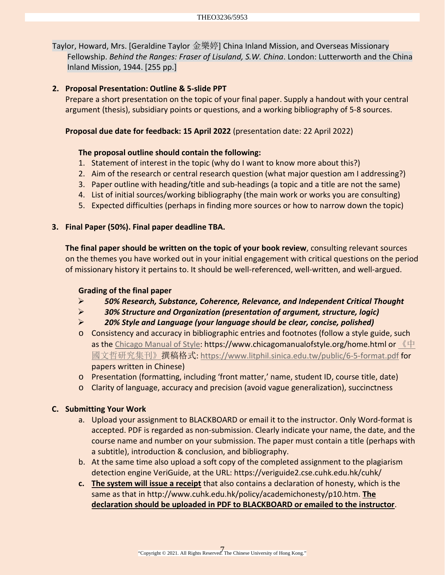Taylor, Howard, Mrs. [Geraldine Taylor 金樂婷] China Inland Mission, and Overseas Missionary Fellowship. *Behind the Ranges: Fraser of Lisuland, S.W. China*. London: Lutterworth and the China Inland Mission, 1944. [255 pp.]

### **2. Proposal Presentation: Outline & 5-slide PPT**

Prepare a short presentation on the topic of your final paper. Supply a handout with your central argument (thesis), subsidiary points or questions, and a working bibliography of 5-8 sources.

#### **Proposal due date for feedback: 15 April 2022** (presentation date: 22 April 2022)

#### **The proposal outline should contain the following:**

- 1. Statement of interest in the topic (why do I want to know more about this?)
- 2. Aim of the research or central research question (what major question am I addressing?)
- 3. Paper outline with heading/title and sub-headings (a topic and a title are not the same)
- 4. List of initial sources/working bibliography (the main work or works you are consulting)
- 5. Expected difficulties (perhaps in finding more sources or how to narrow down the topic)

#### **3. Final Paper (50%). Final paper deadline TBA.**

**The final paper should be written on the topic of your book review**, consulting relevant sources on the themes you have worked out in your initial engagement with critical questions on the period of missionary history it pertains to. It should be well-referenced, well-written, and well-argued.

#### **Grading of the final paper**

- *50% Research, Substance, Coherence, Relevance, and Independent Critical Thought*
- *30% Structure and Organization (presentation of argument, structure, logic)*
- *20% Style and Language (your language should be clear, concise, polished)*
- o Consistency and accuracy in bibliographic entries and footnotes (follow a style guide, such as the [Chicago Manual of Style:](https://www.chicagomanualofstyle.org/tools_citationguide/citation-guide-1.html) https://www.chicagomanualofstyle.org/home.html or  $\mathbb{R}$   $\mathbb{H}$ [國文哲研究集刊》撰](https://www.litphil.sinica.edu.tw/public/6-5-format.pdf)稿格式:<https://www.litphil.sinica.edu.tw/public/6-5-format.pdf> for papers written in Chinese)
- o Presentation (formatting, including 'front matter,' name, student ID, course title, date)
- o Clarity of language, accuracy and precision (avoid vague generalization), succinctness

#### **C. Submitting Your Work**

- a. Upload your assignment to BLACKBOARD or email it to the instructor. Only Word-format is accepted. PDF is regarded as non-submission. Clearly indicate your name, the date, and the course name and number on your submission. The paper must contain a title (perhaps with a subtitle), introduction & conclusion, and bibliography.
- b. At the same time also upload a soft copy of the completed assignment to the plagiarism detection engine VeriGuide, at the URL:<https://veriguide2.cse.cuhk.edu.hk/cuhk/>
- **c. The system will issue a receipt** that also contains a declaration of honesty, which is the same as that in [http://www.cuhk.edu.hk/policy/academichonesty/p10.htm.](http://www.cuhk.edu.hk/policy/academichonesty/p10.htm) **The declaration should be uploaded in PDF to BLACKBOARD or emailed to the instructor**.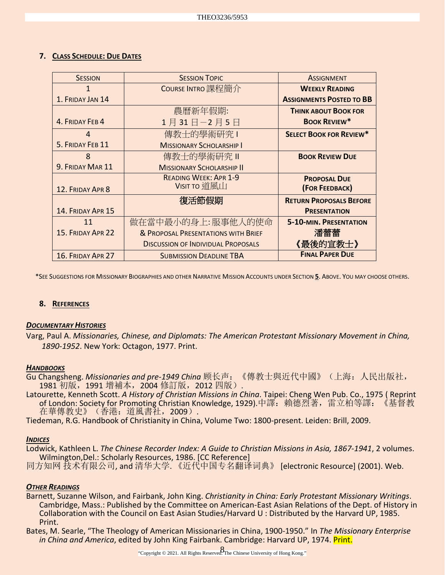#### **7. CLASS SCHEDULE: DUE DATES**

| <b>SESSION</b>    | <b>SESSION TOPIC</b>                      | <b>ASSIGNMENT</b>               |
|-------------------|-------------------------------------------|---------------------------------|
| 1                 | COURSE INTRO 課程簡介                         | <b>WEEKLY READING</b>           |
| 1. FRIDAY JAN 14  |                                           | <b>ASSIGNMENTS POSTED TO BB</b> |
|                   | 農曆新年假期:                                   | <b>THINK ABOUT BOOK FOR</b>     |
| 4. FRIDAY FEB 4   | 1月31日-2月5日                                | <b>BOOK REVIEW*</b>             |
| 4                 | 傳教士的學術研究                                  | <b>SELECT BOOK FOR REVIEW*</b>  |
| 5. FRIDAY FEB 11  | <b>MISSIONARY SCHOLARSHIP I</b>           |                                 |
| 8                 | 傳教士的學術研究 II                               | <b>BOOK REVIEW DUE</b>          |
| 9. FRIDAY MAR 11  | <b>MISSIONARY SCHOLARSHIP II</b>          |                                 |
|                   | <b>READING WEEK: APR 1-9</b>              | <b>PROPOSAL DUE</b>             |
| 12. FRIDAY APR 8  | Visit to 道風山                              | (FOR FEEDBACK)                  |
|                   | 復活節假期                                     | <b>RETURN PROPOSALS BEFORE</b>  |
| 14. FRIDAY APR 15 |                                           | <b>PRESENTATION</b>             |
| 11                | 做在當中最小的身上:服事他人的使命                         | <b>5-10-MIN. PRESENTATION</b>   |
| 15. FRIDAY APR 22 | & PROPOSAL PRESENTATIONS WITH BRIEF       | 潘蕾蕾                             |
|                   | <b>DISCUSSION OF INDIVIDUAL PROPOSALS</b> | 《最後的宣教士》                        |
| 16. FRIDAY APR 27 | <b>SUBMISSION DEADLINE TBA</b>            | <b>FINAL PAPER DUE</b>          |

\*SEE SUGGESTIONS FOR MISSIONARY BIOGRAPHIES AND OTHER NARRATIVE MISSION ACCOUNTS UNDER SECTION **5**. ABOVE. YOU MAY CHOOSE OTHERS.

#### **8. REFERENCES**

#### *DOCUMENTARY HISTORIES*

Varg, Paul A. *Missionaries, Chinese, and Diplomats: The American Protestant Missionary Movement in China, 1890-1952*. New York: Octagon, 1977. Print.

#### *HANDBOOKS*

- Gu Changsheng. *Missionaries and pre-1949 China* 顾长声:《傳教士與近代中國》(上海:人民出版社, 1981 初版,1991 增補本,2004 修訂版,2012 四版).
- Latourette, Kenneth Scott. *A History of Christian Missions in China*. Taipei: Cheng Wen Pub. Co., 1975 ( Reprint of London: Society for Promoting Christian Knowledge, 1929).中譯: 賴德烈著,雷立柏等譯: 《基督教 在華傳教史》(香港:道風書社,2009).
- Tiedeman, R.G. Handbook of Christianity in China, Volume Two: 1800-present. Leiden: Brill, 2009.

#### *INDICES*

Lodwick, Kathleen L. *The Chinese Recorder Index: A Guide to Christian Missions in Asia, 1867-1941*, 2 volumes. Wilmington,Del.: Scholarly Resources, 1986. [CC Reference]

同方知网 技术有限公司, and 清华大学. 《近代中国专名翻译词典》 [electronic Resource] (2001). Web.

#### *OTHER READINGS*

Barnett, Suzanne Wilson, and Fairbank, John King. *Christianity in China: Early Protestant Missionary Writings*. Cambridge, Mass.: Published by the Committee on American-East Asian Relations of the Dept. of History in Collaboration with the Council on East Asian Studies/Harvard U : Distributed by the Harvard UP, 1985. Print.

Bates, M. Searle, "The Theology of American Missionaries in China, 1900-1950." In *The Missionary Enterprise in China and America*, edited by John King Fairbank. Cambridge: Harvard UP, 1974. Print.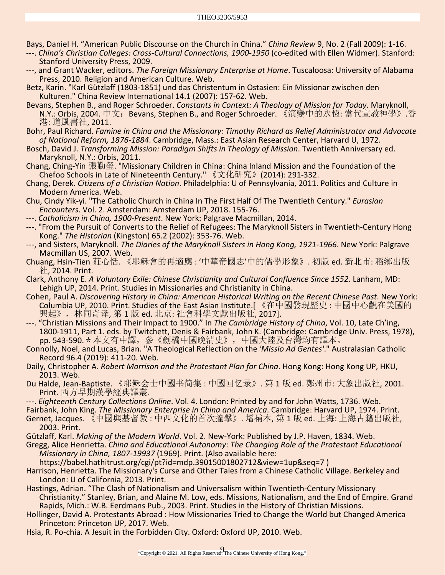Bays, Daniel H. "American Public Discourse on the Church in China." *China Review* 9, No. 2 (Fall 2009): 1-16.

---. *China's Christian Colleges: Cross-Cultural Connections, 1900-1950* (co-edited with Ellen Widmer). Stanford: Stanford University Press, 2009.

---, and Grant Wacker, editors. *The Foreign Missionary Enterprise at Home*. Tuscaloosa: University of Alabama Press, 2010. Religion and American Culture. Web.

Betz, Karin. "Karl Gützlaff (1803-1851) und das Christentum in Ostasien: Ein Missionar zwischen den Kulturen." China Review International 14.1 (2007): 157-62. Web.

Bevans, Stephen B., and Roger Schroeder. *Constants in Context: A Theology of Mission for Today*. Maryknoll, N.Y.: Orbis, 2004. 中文:Bevans, Stephen B., and Roger Schroeder. 《演變中的永恆: 當代宣教神學》.香 港: 道風書社, 2011.

Bohr, Paul Richard. *Famine in China and the Missionary: Timothy Richard as Relief Administrator and Advocate of National Reform, 1876-1884*. Cambridge, Mass.: East Asian Research Center, Harvard U, 1972.

Bosch, David J. *Transforming Mission: Paradigm Shifts in Theology of Mission*. Twentieth Anniversary ed. Maryknoll, N.Y.: Orbis, 2011.

Chang, Ching-Yin 張勤瑩. "Missionary Children in China: China Inland Mission and the Foundation of the Chefoo Schools in Late of Nineteenth Century." 《文化研究》(2014): 291-332.

Chang, Derek. *Citizens of a Christian Nation*. Philadelphia: U of Pennsylvania, 2011. Politics and Culture in Modern America. Web.

Chu, Cindy Yik-yi. "The Catholic Church in China In The First Half Of The Twentieth Century." *Eurasian Encounters*. Vol. 2. Amsterdam: Amsterdam UP, 2018. 155-76.

---. *Catholicism in China, 1900-Present*. New York: Palgrave Macmillan, 2014.

---. "From the Pursuit of Converts to the Relief of Refugees: The Maryknoll Sisters in Twentieth-Century Hong Kong." *The Historian* (Kingston) 65.2 (2002): 353-76. Web.

---, and Sisters, Maryknoll. *The Diaries of the Maryknoll Sisters in Hong Kong, 1921-1966*. New York: Palgrave Macmillan US, 2007. Web.

Chuang, Hsin-Tien 莊心恬. 《耶穌會的再適應 : '中華帝國志'中的儒學形象》. 初版 ed. 新北市: 稻鄉出版 社, 2014. Print.

Clark, Anthony E. *A Voluntary Exile: Chinese Christianity and Cultural Confluence Since 1552*. Lanham, MD: Lehigh UP, 2014. Print. Studies in Missionaries and Christianity in China.

Cohen, Paul A. *Discovering History in China: American Historical Writing on the Recent Chinese Past*. New York: Columbia UP, 2010. Print. Studies of the East Asian Institute.[ 《在中國發現歷史 : 中國中心觀在美國的 興起》,林同奇译, 第 1 版 ed. 北京: 社會科學文獻出版社, 2017].

---. "Christian Missions and Their Impact to 1900." In *The Cambridge History of China*, Vol. 10, Late Ch'ing, 1800-1911, Part 1. eds. by Twitchett, Denis & Fairbank, John K. (Cambridge: Cambridge Univ. Press, 1978), pp. 543-590.\*本文有中譯,參《劍橋中國晚清史》,中國大陸及台灣均有譯本。

Connolly, Noel, and Lucas, Brian. "A Theological Reflection on the *'Missio Ad Gentes'*." Australasian Catholic Record 96.4 (2019): 411-20. Web.

Daily, Christopher A. *Robert Morrison and the Protestant Plan for China*. Hong Kong: Hong Kong UP, HKU, 2013. Web.

Du Halde, Jean-Baptiste. 《耶稣会士中國书简集 : 中國回忆录》. 第 1 版 ed. 鄭州市: 大象出版社, 2001. Print. 西方早期漢學經典譯叢.

---. *Eighteenth Century Collections Online*. Vol. 4. London: Printed by and for John Watts, 1736. Web.

Fairbank, John King. *The Missionary Enterprise in China and America*. Cambridge: Harvard UP, 1974. Print.

Gernet, Jacques. 《中國與基督教 : 中西文化的首次撞擊》. 增補本, 第 1 版 ed. 上海: 上海古籍出版社, 2003. Print.

Gützlaff, Karl. *Making of the Modern World*. Vol. 2. New-York: Published by J.P. Haven, 1834. Web.

Gregg, Alice Henrietta. *China and Educational Autonomy*: *The Changing Role of the Protestant Educational Missionary in China, 1807-19937* (1969). Print. (Also available here:

https://babel.hathitrust.org/cgi/pt?id=mdp.39015001802712&view=1up&seq=7 )

Harrison, Henrietta. The Missionary's Curse and Other Tales from a Chinese Catholic Village. Berkeley and London: U of California, 2013. Print.

Hastings, Adrian. "The Clash of Nationalism and Universalism within Twentieth-Century Missionary Christianity." Stanley, Brian, and Alaine M. Low, eds. Missions, Nationalism, and the End of Empire. Grand Rapids, Mich.: W.B. Eerdmans Pub., 2003. Print. Studies in the History of Christian Missions.

Hollinger, David A. Protestants Abroad : How Missionaries Tried to Change the World but Changed America Princeton: Princeton UP, 2017. Web.

Hsia, R. Po-chia. A Jesuit in the Forbidden City. Oxford: Oxford UP, 2010. Web.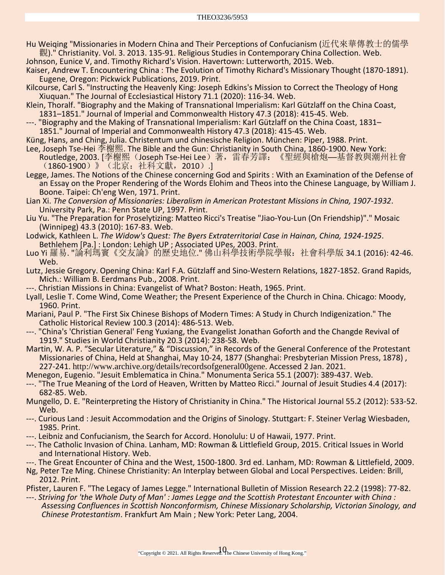- Hu Weiqing "Missionaries in Modern China and Their Perceptions of Confucianism (近代來華傳教士的儒學 觀)." Christianity. Vol. 3. 2013. 135-91. Religious Studies in Contemporary China Collection. Web. Johnson, Eunice V, and. Timothy Richard's Vision. Havertown: Lutterworth, 2015. Web.
- Kaiser, Andrew T. Encountering China : The Evolution of Timothy Richard's Missionary Thought (1870-1891). Eugene, Oregon: Pickwick Publications, 2019. Print.
- Kilcourse, Carl S. "Instructing the Heavenly King: Joseph Edkins's Mission to Correct the Theology of Hong Xiuquan." The Journal of Ecclesiastical History 71.1 (2020): 116-34. Web.
- Klein, Thoralf. "Biography and the Making of Transnational Imperialism: Karl Gützlaff on the China Coast, 1831–1851." Journal of Imperial and Commonwealth History 47.3 (2018): 415-45. Web.
- ---. "Biography and the Making of Transnational Imperialism: Karl Gützlaff on the China Coast, 1831– 1851." Journal of Imperial and Commonwealth History 47.3 (2018): 415-45. Web.
- Küng, Hans, and Ching, Julia. Christentum und chinesische Religion. München: Piper, 1988. Print.
- Lee, Joseph Tse-Hei 李榭熙. The Bible and the Gun: Christianity in South China, 1860-1900. New York: Routledge, 2003. [李榭熙(Joseph Tse-Hei Lee)著,雷春芳譯: 《聖經與槍炮—基督教與潮州社會 (1860-1900)》(北京:社科文獻,2010).]
- Legge, James. The Notions of the Chinese concerning God and Spirits : With an Examination of the Defense of an Essay on the Proper Rendering of the Words Elohim and Theos into the Chinese Language, by William J. Boone. Taipei: Ch'eng Wen, 1971. Print.
- Lian Xi. *The Conversion of Missionaries: Liberalism in American Protestant Missions in China, 1907-1932*. University Park, Pa.: Penn State UP, 1997. Print.
- Liu Yu. "The Preparation for Proselytizing: Matteo Ricci's Treatise "Jiao-You-Lun (On Friendship)"." Mosaic (Winnipeg) 43.3 (2010): 167-83. Web.
- Lodwick, Kathleen L. *The Widow's Quest: The Byers Extraterritorial Case in Hainan, China, 1924-1925*. Bethlehem [Pa.] : London: Lehigh UP ; Associated UPes, 2003. Print.
- Luo Yi 羅易. "論利瑪竇《交友論》的歷史地位." 佛山科學技術學院學報: 社會科學版 34.1 (2016): 42-46. Web.
- Lutz, Jessie Gregory. Opening China: Karl F.A. Gützlaff and Sino-Western Relations, 1827-1852. Grand Rapids, Mich.: William B. Eerdmans Pub., 2008. Print.
- ---. Christian Missions in China: Evangelist of What? Boston: Heath, 1965. Print.
- Lyall, Leslie T. Come Wind, Come Weather; the Present Experience of the Church in China. Chicago: Moody, 1960. Print.
- Mariani, Paul P. "The First Six Chinese Bishops of Modern Times: A Study in Church Indigenization." The Catholic Historical Review 100.3 (2014): 486-513. Web.
- ---. "China's 'Christian General' Feng Yuxiang, the Evangelist Jonathan Goforth and the Changde Revival of 1919." Studies in World Christianity 20.3 (2014): 238-58. Web.
- Martin, W. A. P. "Secular Literature," & "Discussion," in Records of the General Conference of the Protestant Missionaries of China, Held at Shanghai, May 10-24, 1877 (Shanghai: Presbyterian Mission Press, 1878) , 227-241. [http://www.archive.org/details/recordsofgeneral00gene.](http://www.archive.org/details/recordsofgeneral00gene) Accessed 2 Jan. 2021.
- Menegon, Eugenio. "Jesuit Emblematica in China." Monumenta Serica 55.1 (2007): 389-437. Web.
- ---. "The True Meaning of the Lord of Heaven, Written by Matteo Ricci." Journal of Jesuit Studies 4.4 (2017): 682-85. Web.
- Mungello, D. E. "Reinterpreting the History of Christianity in China." The Historical Journal 55.2 (2012): 533-52. Web.
- ---. Curious Land : Jesuit Accommodation and the Origins of Sinology. Stuttgart: F. Steiner Verlag Wiesbaden, 1985. Print.<br>---. Leibniz and Confucianism, the Search for Accord. Honolulu: U of Hawaii, 1977. Print.
- 
- ---. The Catholic Invasion of China. Lanham, MD: Rowman & Littlefield Group, 2015. Critical Issues in World and International History. Web. ---. The Great Encounter of China and the West, 1500-1800. 3rd ed. Lanham, MD: Rowman & Littlefield, 2009.
- 
- Ng, Peter Tze Ming. Chinese Christianity: An Interplay between Global and Local Perspectives. Leiden: Brill, 2012. Print.
- Pfister, Lauren F. "The Legacy of James Legge." International Bulletin of Mission Research 22.2 (1998): 77-82.<br>---. Striving for 'the Whole Duty of Man': James Legge and the Scottish Protestant Encounter with China :
- *Assessing Confluences in Scottish Nonconformism, Chinese Missionary Scholarship, Victorian Sinology, and Chinese Protestantism*. Frankfurt Am Main ; New York: Peter Lang, 2004.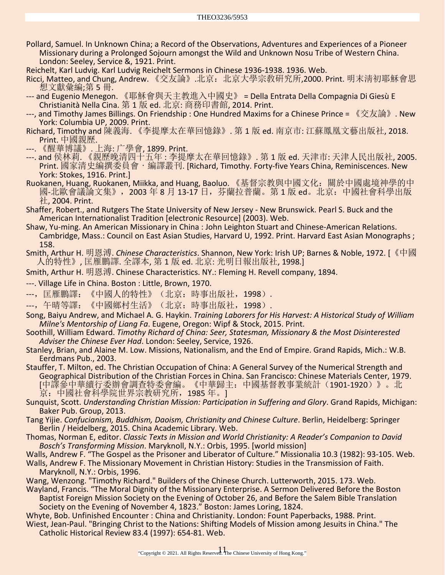- Pollard, Samuel. In Unknown China; a Record of the Observations, Adventures and Experiences of a Pioneer Missionary during a Prolonged Sojourn amongst the Wild and Unknown Nosu Tribe of Western China. London: Seeley, Service &, 1921. Print.
- Reichelt, Karl Ludvig. Karl Ludvig Reichelt Sermons in Chinese 1936-1938. 1936. Web.
- Ricci, Matteo, and Chung, Andrew. 《交友論》.北京:北京大學宗敎硏究所,2000. Print. 明末淸初耶穌會思 想文獻彙編;第 5 冊.
- --- and Eugenio Menegon. 《耶穌會與天主教進入中國史》 = Della Entrata Della Compagnia Di Giesù E Christianità Nella Cina. 第 1 版 ed. 北京: 商務印書館, 2014. Print.
- ---, and Timothy James Billings. On Friendship : One Hundred Maxims for a Chinese Prince = 《交友論》. New York: Columbia UP, 2009. Print.
- Richard, Timothy and 陳義海. 《李提摩太在華回憶錄》. 第 1 版 ed. 南京市: 江蘇鳳凰文藝出版社, 2018. Print. 中國親歷.
- ---. 《醒華博議》. 上海: 广學會, 1899. Print.
- ---. and 侯林莉. 《親歷晚清四十五年 : 李提摩太在華回憶錄》. 第 1 版 ed. 天津市: 天津人民出版社, 2005. Print. 國家清史編撰委員會・編譯叢刊. [Richard, Timothy. Forty-five Years China, Reminiscences. New York: Stokes, 1916. Print.]
- Ruokanen, Huang, Ruokanen, Miikka, and Huang, Baoluo. 《基督宗教與中國文化:關於中國處境神學的中 國-北歐會議論文集》,2003 年 8 月 13-17 日,芬蘭拉普蘭。第 1 版 ed。北京:中國社會科學出版 社, 2004. Print.
- Shaffer, Robert., and Rutgers The State University of New Jersey New Brunswick. Pearl S. Buck and the American Internationalist Tradition [electronic Resource] (2003). Web.
- Shaw, Yu-ming. An American Missionary in China : John Leighton Stuart and Chinese-American Relations. Cambridge, Mass.: Council on East Asian Studies, Harvard U, 1992. Print. Harvard East Asian Monographs ; 158.
- Smith, Arthur H. 明恩溥. *Chinese Characteristics*. Shannon, New York: Irish UP; Barnes & Noble, 1972. [《中國 人的特性》, 匡雁鵬譯. 全譯本, 第 1 版 ed. 北京: 光明日報出版社, 1998.]
- Smith, Arthur H. 明恩溥. Chinese Characteristics. NY.: Fleming H. Revell company, 1894.
- ---. Village Life in China. Boston : Little, Brown, 1970.
- ---, 匡雁鵬譯: 《中國人的特性》(北京: 時事出版社, 1998).
- ---, 午晴等譯: 《中國鄉村生活》(北京: 時事出版社,1998).
- Song, Baiyu Andrew, and Michael A. G. Haykin. *Training Laborers for His Harvest: A Historical Study of William Milne's Mentorship of Liang Fa*. Eugene, Oregon: Wipf & Stock, 2015. Print.
- Soothill, William Edward. *Timothy Richard of China: Seer, Statesman, Missionary & the Most Disinterested Adviser the Chinese Ever Had*. London: Seeley, Service, 1926.
- Stanley, Brian, and Alaine M. Low. Missions, Nationalism, and the End of Empire. Grand Rapids, Mich.: W.B. Eerdmans Pub., 2003.
- Stauffer, T. Milton, ed. The Christian Occupation of China: A General Survey of the Numerical Strength and Geographical Distribution of the Christian Forces in China. San Francisco: Chinese Materials Center, 1979. [中譯參中華續行委辦會調查特委會編。《中華歸主:中國基督教事業統計(1901-1920)》。北 京:中國社會科學院世界宗教研究所,1985 年。]
- Sunquist, Scott. *Understanding Christian Mission: Participation in Suffering and Glory*. Grand Rapids, Michigan: Baker Pub. Group, 2013.
- Tang Yijie. *Confucianism, Buddhism, Daoism, Christianity and Chinese Culture*. Berlin, Heidelberg: Springer Berlin / Heidelberg, 2015. China Academic Library. Web.
- Thomas, Norman E, editor. *Classic Texts in Mission and World Christianity: A Reader's Companion to David Bosch's Transforming Mission*. Maryknoll, N.Y.: Orbis, 1995. [world mission]
- Walls, Andrew F. "The Gospel as the Prisoner and Liberator of Culture." Missionalia 10.3 (1982): 93-105. Web.
- Walls, Andrew F. The Missionary Movement in Christian History: Studies in the Transmission of Faith. Maryknoll, N.Y.: Orbis, 1996.
- Wang, Wenzong. "Timothy Richard." Builders of the Chinese Church. Lutterworth, 2015. 173. Web.
- Wayland, Francis. "The Moral Dignity of the Missionary Enterprise. A Sermon Delivered Before the Boston Baptist Foreign Mission Society on the Evening of October 26, and Before the Salem Bible Translation Society on the Evening of November 4, 1823." Boston: James Loring, 1824.
- Whyte, Bob. Unfinished Encounter : China and Christianity. London: Fount Paperbacks, 1988. Print. Wiest, Jean-Paul. "Bringing Christ to the Nations: Shifting Models of Mission among Jesuits in China." The Catholic Historical Review 83.4 (1997): 654-81. Web.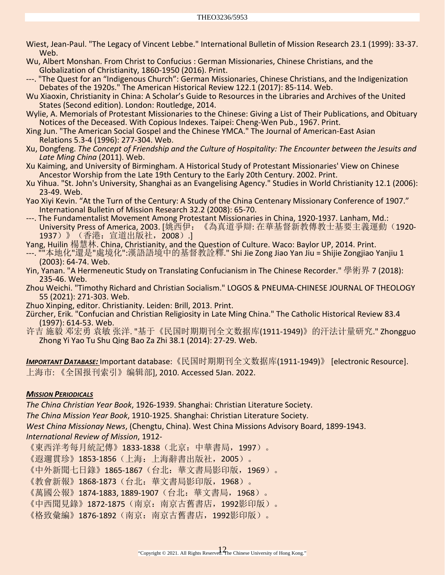- Wiest, Jean-Paul. "The Legacy of Vincent Lebbe." International Bulletin of Mission Research 23.1 (1999): 33-37. Web.
- Wu, Albert Monshan. From Christ to Confucius : German Missionaries, Chinese Christians, and the Globalization of Christianity, 1860-1950 (2016). Print.
- ---. "The Quest for an "Indigenous Church": German Missionaries, Chinese Christians, and the Indigenization Debates of the 1920s." The American Historical Review 122.1 (2017): 85-114. Web.
- Wu Xiaoxin, Christianity in China: A Scholar's Guide to Resources in the Libraries and Archives of the United States (Second edition). London: Routledge, 2014.
- Wylie, A. Memorials of Protestant Missionaries to the Chinese: Giving a List of Their Publications, and Obituary Notices of the Deceased. With Copious Indexes. Taipei: Cheng-Wen Pub., 1967. Print.
- Xing Jun. "The American Social Gospel and the Chinese YMCA." The Journal of American-East Asian Relations 5.3-4 (1996): 277-304. Web.
- Xu, Dongfeng. *The Concept of Friendship and the Culture of Hospitality: The Encounter between the Jesuits and Late Ming China* (2011). Web.
- Xu Kaiming, and University of Birmingham. A Historical Study of Protestant Missionaries' View on Chinese Ancestor Worship from the Late 19th Century to the Early 20th Century. 2002. Print.
- Xu Yihua. "St. John's University, Shanghai as an Evangelising Agency." Studies in World Christianity 12.1 (2006): 23-49. Web.
- Yao Xiyi Kevin. "At the Turn of the Century: A Study of the China Centenary Missionary Conference of 1907." International Bulletin of Mission Research 32.2 (2008): 65-70.
- ---. The Fundamentalist Movement Among Protestant Missionaries in China, 1920-1937. Lanham, Md.: University Press of America, 2003. [姚西伊:《為真道爭辯: 在華基督新教傳教士基要主義運動(1920- 1937)》(香港: 宣道出版社, 2008).]
- Yang, Huilin 楊慧林. China, Christianity, and the Question of Culture. Waco: Baylor UP, 2014. Print.
- ---. ""本地化"還是"處境化":漢語語境中的基督教詮釋." Shi Jie Zong Jiao Yan Jiu = Shijie Zongjiao Yanjiu 1 (2003): 64-74. Web.
- Yin, Yanan. "A Hermeneutic Study on Translating Confucianism in The Chinese Recorder." 學術界 7 (2018): 235-46. Web.
- Zhou Weichi. "Timothy Richard and Christian Socialism." LOGOS & PNEUMA-CHINESE JOURNAL OF THEOLOGY 55 (2021): 271-303. Web.
- Zhuo Xinping, editor. Christianity. Leiden: Brill, 2013. Print.
- Zürcher, Erik. "Confucian and Christian Religiosity in Late Ming China." The Catholic Historical Review 83.4 (1997): 614-53. Web.
- 许吉 施毅 邓宏勇 袁敏 张洋. "基于《民国时期期刊全文数据库(1911-1949)》的汗法计量研究." Zhongguo Zhong Yi Yao Tu Shu Qing Bao Za Zhi 38.1 (2014): 27-29. Web.

*IMPORTANT DATABASE:* Important database:《民国时期期刊全文数据库(1911-1949)》 [electronic Resource]. 上海市: 《全国报刊索引》编辑部], 2010. Accessed 5Jan. 2022.

#### *MISSION PERIODICALS*

*The China Christian Year Book*, 1926-1939. Shanghai: Christian Literature Society.

*The China Mission Year Book*, 1910-1925. Shanghai: Christian Literature Society.

*West China Missionay News*, (Chengtu, China). West China Missions Advisory Board, 1899-1943.

## *International Review of Mission*, 1912-

《東西洋考每月統記傳》1833-1838(北京:中華書局,1997)。

《遐邇貫珍》1853-1856(上海:上海辭書出版社,2005)。

《中外新聞七日錄》1865-1867(台北:華文書局影印版,1969)。

《教會新報》1868-1873(台北:華文書局影印版,1968)。

《萬國公報》1874-1883, 1889-1907 (台北: 華文書局, 1968)。

《中西聞見錄》1872-1875(南京:南京古舊書店,1992影印版)。

《格致彙編》1876-1892(南京:南京古舊書店,1992影印版)。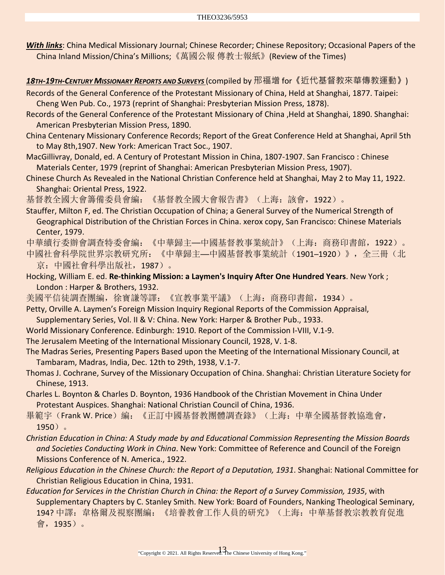*With links*[: China Medical Missionary Journal;](https://guides.library.yale.edu/missionperiodicals) [Chinese Recorder;](https://guides.library.yale.edu/c.php?g=296315&p=1976867) [Chinese Repository;](https://guides.library.yale.edu/c.php?g=296315&p=1976866) [Occasional Papers of the](https://guides.library.yale.edu/c.php?g=296315&p=1976865)  [China Inland Mission/China's Millions;](https://guides.library.yale.edu/c.php?g=296315&p=1976865)《萬國公報 [傳教士報紙》](http://laokan.dachengdata.com/magazinfo?biaoshi=7034131&pn=1)[\(Review of the Times\)](http://laokan.dachengdata.com/magazinfo?biaoshi=7034131&pn=1)

*18TH-19TH-CENTURY MISSIONARY REPORTS AND SURVEYS* (compiled by 邢福增 for《近代基督教來華傳教運動》)

Records of the General Conference of the Protestant Missionary of China, Held at Shanghai, 1877. Taipei: Cheng Wen Pub. Co., 1973 (reprint of Shanghai: Presbyterian Mission Press, 1878).

Records of the General Conference of the Protestant Missionary of China ,Held at Shanghai, 1890. Shanghai: American Presbyterian Mission Press, 1890.

China Centenary Missionary Conference Records; Report of the Great Conference Held at Shanghai, April 5th to May 8th,1907. New York: American Tract Soc., 1907.

MacGillivray, Donald, ed. A Century of Protestant Mission in China, 1807-1907. San Francisco : Chinese Materials Center, 1979 (reprint of Shanghai: American Presbyterian Mission Press, 1907).

Chinese Church As Revealed in the National Christian Conference held at Shanghai, May 2 to May 11, 1922. Shanghai: Oriental Press, 1922.

基督教全國大會籌備委員會編:《基督教全國大會報告書》(上海:該會,1922)。

Stauffer, Milton F, ed. The Christian Occupation of China; a General Survey of the Numerical Strength of Geographical Distribution of the Christian Forces in China. xerox copy, San Francisco: Chinese Materials Center, 1979.

中華續行委辦會調查特委會編:《中華歸主──中國基督教事業統計》(上海:商務印書館,1922)。 中國社會科學院世界宗教研究所: 《中華歸主—中國基督教事業統計 (1901-1920)》,全三冊 (北

京:中國社會科學出版社,1987)。

Hocking, William E. ed. **Re-thinking Mission: a Laymen's Inquiry After One Hundred Years**. New York ; London : Harper & Brothers, 1932.

美國平信徒調查團編,徐寶謙等譯:《宣教事業平議》(上海:商務印書館,1934)。

Petty, Orville A. Laymen's Foreign Mission Inquiry Regional Reports of the Commission Appraisal, Supplementary Series, Vol. II & V: China. New York: Harper & Brother Pub., 1933.

World Missionary Conference. Edinburgh: 1910. Report of the Commission I-VIII, V.1-9.

The Jerusalem Meeting of the International Missionary Council, 1928, V. 1-8.

The Madras Series, Presenting Papers Based upon the Meeting of the International Missionary Council, at Tambaram, Madras, India, Dec. 12th to 29th, 1938, V.1-7.

- Thomas J. Cochrane, Survey of the Missionary Occupation of China. Shanghai: Christian Literature Society for Chinese, 1913.
- Charles L. Boynton & Charles D. Boynton, 1936 Handbook of the Christian Movement in China Under Protestant Auspices. Shanghai: National Christian Council of China, 1936.
- 畢範宇 (Frank W. Price)編: 《正訂中國基督教團體調查錄》 (上海: 中華全國基督教協進會, 1950)。

*Christian Education in China: A Study made by and Educational Commission Representing the Mission Boards and Societies Conducting Work in China*. New York: Committee of Reference and Council of the Foreign Missions Conference of N. America., 1922.

*Religious Education in the Chinese Church: the Report of a Deputation, 1931*. Shanghai: National Committee for Christian Religious Education in China, 1931.

*Education for Services in the Christian Church in China: the Report of a Survey Commission, 1935*, with Supplementary Chapters by C. Stanley Smith. New York: Board of Founders, Nanking Theological Seminary, 194? 中譯: 韋格爾及視察團編: 《培養教會工作人員的研究》(上海: 中華基督教宗教教育促進 會,1935)。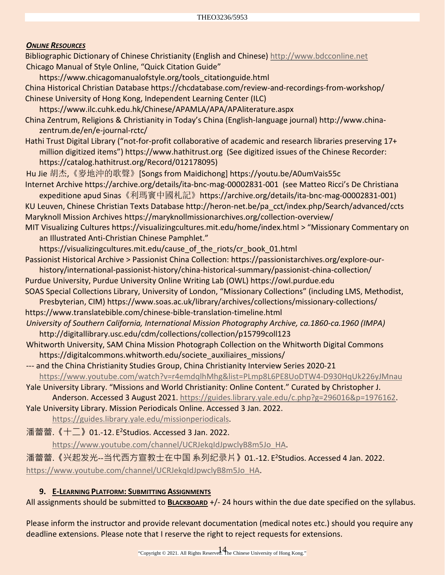## *ONLINE RESOURCES*

Bibliographic Dictionary of Chinese Christianity (English and Chinese) [http://www.bdcconline.net](http://www.bdcconline.net/) Chicago Manual of Style Online, "Quick Citation Guide"

[https://www.chicagomanualofstyle.org/tools\\_citationguide.html](https://www.chicagomanualofstyle.org/tools_citationguide.html) China Historical Christian Databas[e https://chcdatabase.com/review-and-recordings-from-workshop/](https://chcdatabase.com/review-and-recordings-from-workshop/) Chinese University of Hong Kong, Independent Learning Center (ILC) <https://www.ilc.cuhk.edu.hk/Chinese/APAMLA/APA/APAliterature.aspx> China Zentrum, Religions & Christianity in Today's China (English-language journal) [http://www.china](http://www.china-zentrum.de/en/e-journal-rctc/)[zentrum.de/en/e-journal-rctc/](http://www.china-zentrum.de/en/e-journal-rctc/) Hathi Trust Digital Library ("not-for-profit collaborative of academic and research libraries preserving 17+ million digitized items") [https://www.hathitrust.org](https://www.hathitrust.org/) (See digitized issues of the Chinese Recorder: [https://catalog.hathitrust.org/Record/012178095\)](https://catalog.hathitrust.org/Record/012178095) Hu Jie 胡杰,《麥地沖的歌聲》[Songs from Maidichong] <https://youtu.be/A0umVais55c> Internet Archive<https://archive.org/details/ita-bnc-mag-00002831-001>(see Matteo Ricci's De Christiana expeditione apud Sinas《利瑪竇中國札記》[https://archive.org/details/ita-bnc-mag-00002831-001\)](https://archive.org/details/ita-bnc-mag-00002831-001) KU Leuven, Chinese Christian Texts Database [http://heron-net.be/pa\\_cct/index.php/Search/advanced/ccts](http://heron-net.be/pa_cct/index.php/Search/advanced/ccts) Maryknoll Mission Archives<https://maryknollmissionarchives.org/collection-overview/> MIT Visualizing Cultures<https://visualizingcultures.mit.edu/home/index.html> > "Missionary Commentary on an Illustrated Anti-Christian Chinese Pamphlet." [https://visualizingcultures.mit.edu/cause\\_of\\_the\\_riots/cr\\_book\\_01.html](https://visualizingcultures.mit.edu/cause_of_the_riots/cr_book_01.html) Passionist Historical Archive > Passionist China Collection: [https://passionistarchives.org/explore-our](https://passionistarchives.org/explore-our-history/international-passionist-history/china-historical-summary/passionist-china-collection/)[history/international-passionist-history/china-historical-summary/passionist-china-collection/](https://passionistarchives.org/explore-our-history/international-passionist-history/china-historical-summary/passionist-china-collection/) Purdue University, Purdue University Online Writing Lab (OWL) [https://owl.purdue.edu](https://owl.purdue.edu/) SOAS Special Collections Library, University of London, "Missionary Collections" (including LMS, Methodist, Presbyterian, CIM)<https://www.soas.ac.uk/library/archives/collections/missionary-collections/> <https://www.translatebible.com/chinese-bible-translation-timeline.html> *University of Southern California, International Mission Photography Archive, ca.1860-ca.1960 (IMPA)*  <http://digitallibrary.usc.edu/cdm/collections/collection/p15799coll123> Whitworth University, SAM China Mission Photograph Collection on the Whitworth Digital Commons [https://digitalcommons.whitworth.edu/societe\\_auxiliaires\\_missions/](https://digitalcommons.whitworth.edu/societe_auxiliaires_missions/)

--- and the China Christianity Studies Group, China Christianity Interview Series 2020-21 <https://www.youtube.com/watch?v=r4emdqlhMhg&list=PLmp8L6PE8UoDTW4-D930HqUk226yJMnau>

Yale University Library. "Missions and World Christianity: Online Content." Curated by Christopher J. Anderson. Accessed 3 August 2021[. https://guides.library.yale.edu/c.php?g=296016&p=1976162.](https://guides.library.yale.edu/c.php?g=296016&p=1976162)

Yale University Library. Mission Periodicals Online. Accessed 3 Jan. 2022.

[https://guides.library.yale.edu/missionperiodicals.](https://guides.library.yale.edu/missionperiodicals)

 $\frac{1}{12}$ 蕾蕾. 《十二》01.-12. E<sup>2</sup>Studios. Accessed 3 Jan. 2022.

[https://www.youtube.com/channel/UCRJekqIdJpwclyB8m5Jo\\_HA.](https://www.youtube.com/channel/UCRJekqIdJpwclyB8m5Jo_HA)

潘蕾蕾.《兴起发光--当代西方宣教士在中国 系列纪录片》01.-12. E2Studios. Accessed 4 Jan. 2022. [https://www.youtube.com/channel/UCRJekqIdJpwclyB8m5Jo\\_HA.](https://www.youtube.com/channel/UCRJekqIdJpwclyB8m5Jo_HA)

#### **9. E-LEARNING PLATFORM: SUBMITTING ASSIGNMENTS**

All assignments should be submitted to **BLACKBOARD** +/- 24 hours within the due date specified on the syllabus.

Please inform the instructor and provide relevant documentation (medical notes etc.) should you require any deadline extensions. Please note that I reserve the right to reject requests for extensions.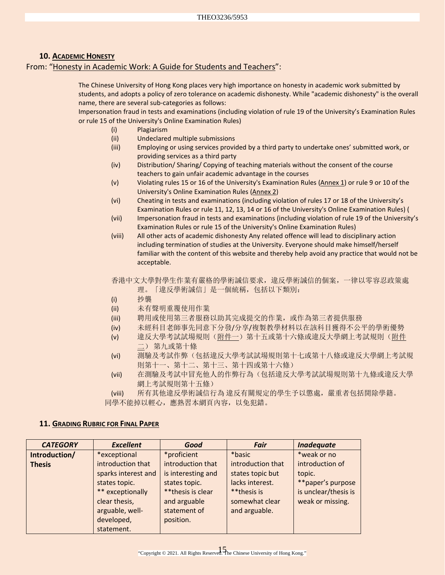#### **10. ACADEMIC HONESTY**

#### From: ["Honesty in Academic Work: A Guide for Students and Teachers"](http://www.cuhk.edu.hk/policy/academichonesty/):

The Chinese University of Hong Kong places very high importance on honesty in academic work submitted by students, and adopts a policy of zero tolerance on academic dishonesty. While "academic dishonesty" is the overall name, there are several sub-categories as follows:

Impersonation fraud in tests and examinations (including violation of rule 19 of the University's Examination Rules or rule 15 of the University's Online Examination Rules)

- (i) Plagiarism
- (ii) Undeclared multiple submissions
- (iii) Employing or using services provided by a third party to undertake ones' submitted work, or providing services as a third party
- (iv) Distribution/ Sharing/ Copying of teaching materials without the consent of the course teachers to gain unfair academic advantage in the courses
- (v) Violating rules 15 or 16 of the University's Examination Rules [\(Annex 1\)](http://www.cuhk.edu.hk/policy/academichonesty/Eng_htm_files_(2013-14)/Annex%201_en.pdf) or rule 9 or 10 of the University's Online Examination Rules [\(Annex 2\)](http://www.cuhk.edu.hk/policy/academichonesty/Eng_htm_files_(2013-14)/Annex%202_en.pdf)
- (vi) Cheating in tests and examinations (including violation of rules 17 or 18 of the University's Examination Rules or rule 11, 12, 13, 14 or 16 of the University's Online Examination Rules) (
- (vii) Impersonation fraud in tests and examinations (including violation of rule 19 of the University's Examination Rules or rule 15 of the University's Online Examination Rules)
- (viii) All other acts of academic dishonesty Any related offence will lead to disciplinary action including termination of studies at the University. Everyone should make himself/herself familiar with the content of this website and thereby help avoid any practice that would not be acceptable.

香港中文大學對學生作業有嚴格的學術誠信要求,違反學術誠信的個案,一律以零容忍政策處 理。「違反學術誠信」是一個統稱,包括以下類別:

- (i) 抄襲
- (ii) 未有聲明重覆使用作業
- (iii) 聘用或使用第三者服務以助其完成提交的作業,或作為第三者提供服務
- (iv) 未經科目老師事先同意下分發/分享/複製教學材料以在該科目獲得不公平的學術優勢
- (v) 違反大學考試試場規則[\(附件一\)](http://www.cuhk.edu.hk/policy/academichonesty/Chi_htm_files_(2013-14)/Annex%201_chi.pdf)第十五或第十六條或違反大學網上考試規則[\(附件](http://www.cuhk.edu.hk/policy/academichonesty/Chi_htm_files_(2013-14)/Annex%202_chi.pdf) [二\)](http://www.cuhk.edu.hk/policy/academichonesty/Chi_htm_files_(2013-14)/Annex%202_chi.pdf) 第九或第十條
- (vi) 測驗及考試作弊(包括違反大學考試試場規則第十七或第十八條或違反大學網上考試規 則第十一、第十二、第十三、第十四或第十六條)
- (vii) 在測驗及考試中冒充他人的作弊行為(包括違反大學考試試場規則第十九條或違反大學 網上考試規則第十五條)

(viii) 所有其他違反學術誠信行為 違反有關規定的學生予以懲處,嚴重者包括開除學籍。 同學不能掉以輕心,應熟習本網頁內容,以免犯錯。

#### **11. GRADING RUBRIC FOR FINAL PAPER**

| <b>CATEGORY</b> | <b>Excellent</b>    | Good               | <b>Fair</b>       | <b>Inadequate</b>    |
|-----------------|---------------------|--------------------|-------------------|----------------------|
| Introduction/   | *exceptional        | *proficient        | *basic            | *weak or no          |
| <b>Thesis</b>   | introduction that   | introduction that  | introduction that | introduction of      |
|                 | sparks interest and | is interesting and | states topic but  | topic.               |
|                 | states topic.       | states topic.      | lacks interest.   | **paper's purpose    |
|                 | ** exceptionally    | **thesis is clear  | **thesis is       | is unclear/thesis is |
|                 | clear thesis,       | and arguable       | somewhat clear    | weak or missing.     |
|                 | arguable, well-     | statement of       | and arguable.     |                      |
|                 | developed,          | position.          |                   |                      |
|                 | statement.          |                    |                   |                      |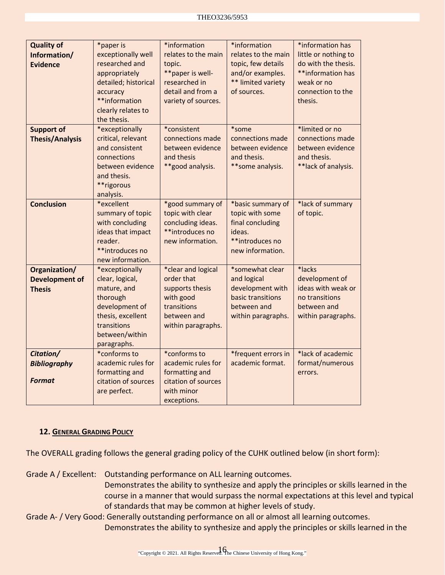| <b>Quality of</b><br>Information/<br><b>Evidence</b>    | *paper is<br>exceptionally well<br>researched and<br>appropriately<br>detailed; historical<br>accuracy<br>**information<br>clearly relates to<br>the thesis. | *information<br>relates to the main<br>topic.<br>**paper is well-<br>researched in<br>detail and from a<br>variety of sources. | *information<br>relates to the main<br>topic, few details<br>and/or examples.<br>** limited variety<br>of sources. | *information has<br>little or nothing to<br>do with the thesis.<br>**information has<br>weak or no<br>connection to the<br>thesis. |
|---------------------------------------------------------|--------------------------------------------------------------------------------------------------------------------------------------------------------------|--------------------------------------------------------------------------------------------------------------------------------|--------------------------------------------------------------------------------------------------------------------|------------------------------------------------------------------------------------------------------------------------------------|
| <b>Support of</b><br><b>Thesis/Analysis</b>             | *exceptionally<br>critical, relevant<br>and consistent<br>connections<br>between evidence<br>and thesis.<br>**rigorous<br>analysis.                          | *consistent<br>connections made<br>between evidence<br>and thesis<br>**good analysis.                                          | *some<br>connections made<br>between evidence<br>and thesis.<br>** some analysis.                                  | *limited or no<br>connections made<br>between evidence<br>and thesis.<br>**lack of analysis.                                       |
| <b>Conclusion</b>                                       | *excellent<br>summary of topic<br>with concluding<br>ideas that impact<br>reader.<br>**introduces no<br>new information.                                     | *good summary of<br>topic with clear<br>concluding ideas.<br>**introduces no<br>new information.                               | *basic summary of<br>topic with some<br>final concluding<br>ideas.<br>**introduces no<br>new information.          | *lack of summary<br>of topic.                                                                                                      |
| Organization/<br><b>Development of</b><br><b>Thesis</b> | *exceptionally<br>clear, logical,<br>mature, and<br>thorough<br>development of<br>thesis, excellent<br>transitions<br>between/within<br>paragraphs.          | *clear and logical<br>order that<br>supports thesis<br>with good<br>transitions<br>between and<br>within paragraphs.           | *somewhat clear<br>and logical<br>development with<br>basic transitions<br>between and<br>within paragraphs.       | *lacks<br>development of<br>ideas with weak or<br>no transitions<br>between and<br>within paragraphs.                              |
| Citation/<br><b>Bibliography</b><br><b>Format</b>       | *conforms to<br>academic rules for<br>formatting and<br>citation of sources<br>are perfect.                                                                  | *conforms to<br>academic rules for<br>formatting and<br>citation of sources<br>with minor<br>exceptions.                       | *frequent errors in<br>academic format.                                                                            | *lack of academic<br>format/numerous<br>errors.                                                                                    |

#### **12. GENERAL GRADING POLICY**

The OVERALL grading follows the general grading policy of the CUHK outlined below (in short form):

Grade A / Excellent: Outstanding performance on ALL learning outcomes.

Demonstrates the ability to synthesize and apply the principles or skills learned in the course in a manner that would surpass the normal expectations at this level and typical of standards that may be common at higher levels of study.

Grade A- / Very Good: Generally outstanding performance on all or almost all learning outcomes. Demonstrates the ability to synthesize and apply the principles or skills learned in the